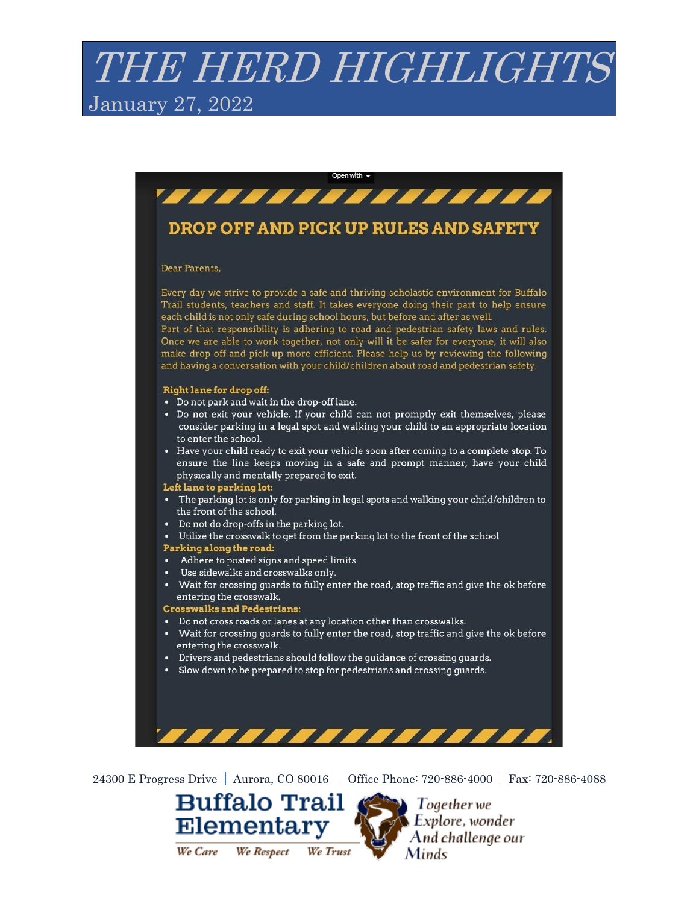# THE HERD HIGHLIGHTS January 27, 2022



24300 E Progress Drive | Aurora, CO 80016 | Office Phone: 720-886-4000 | Fax: 720-886-4088



 $\sum$  Together we  $\blacktriangleright$  Explore, wonder And challenge our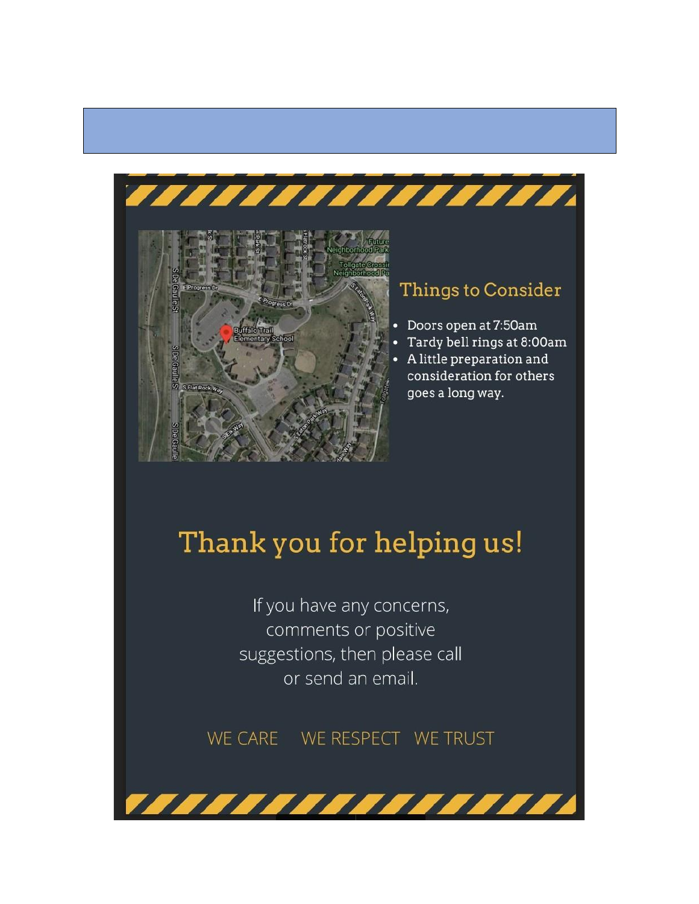

#### **Things to Consider**

- Doors open at 7:50am
- Tardy bell rings at 8:00am
- A little preparation and consideration for others goes a long way.

## Thank you for helping us!

,,,,,,,,,,,,,,,

If you have any concerns, comments or positive suggestions, then please call or send an email.

77777777777777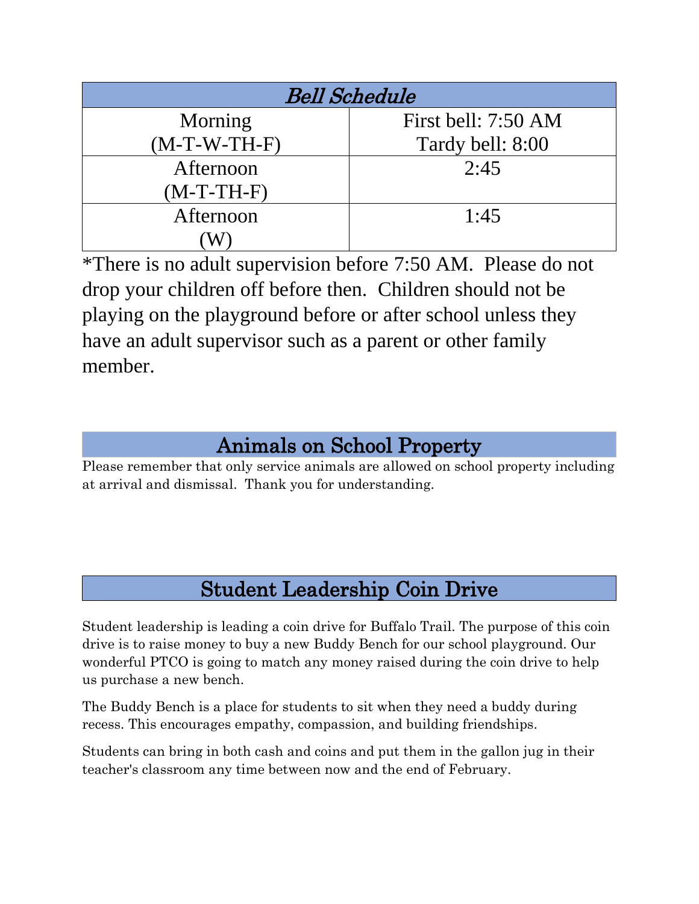| <b>Bell Schedule</b> |                     |
|----------------------|---------------------|
| Morning              | First bell: 7:50 AM |
| $(M-T-W-TH-F)$       | Tardy bell: 8:00    |
| Afternoon            | 2:45                |
| $(M-T-TH-F)$         |                     |
| Afternoon            | 1:45                |
|                      |                     |

\*There is no adult supervision before 7:50 AM. Please do not drop your children off before then. Children should not be playing on the playground before or after school unless they have an adult supervisor such as a parent or other family member.

### Animals on School Property

Please remember that only service animals are allowed on school property including at arrival and dismissal. Thank you for understanding.

#### Student Leadership Coin Drive

Student leadership is leading a coin drive for Buffalo Trail. The purpose of this coin drive is to raise money to buy a new Buddy Bench for our school playground. Our wonderful PTCO is going to match any money raised during the coin drive to help us purchase a new bench.

The Buddy Bench is a place for students to sit when they need a buddy during recess. This encourages empathy, compassion, and building friendships.

Students can bring in both cash and coins and put them in the gallon jug in their teacher's classroom any time between now and the end of February.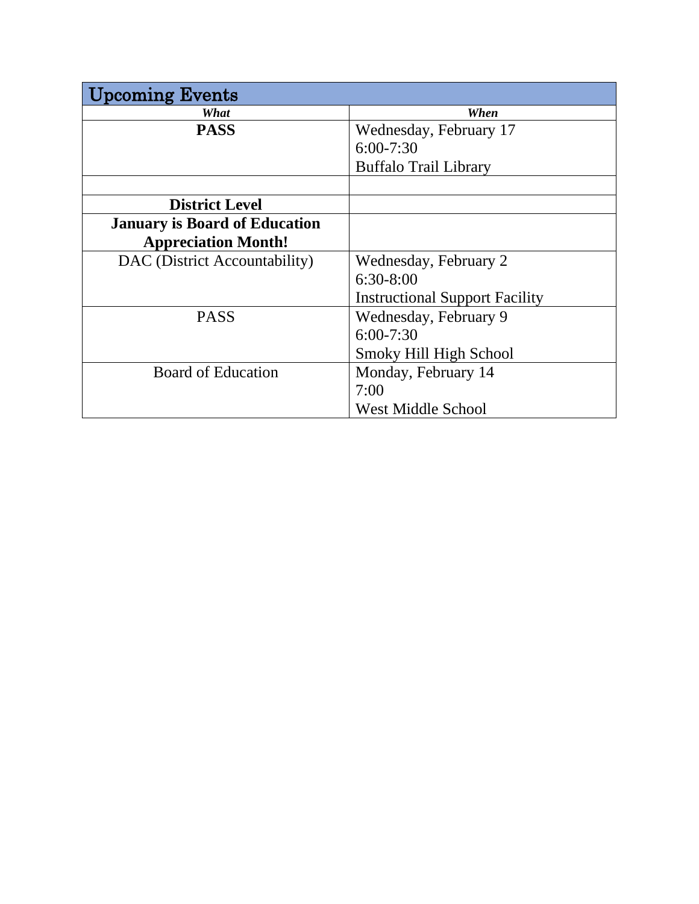| pcoming Events                       |                                       |
|--------------------------------------|---------------------------------------|
| What                                 | When                                  |
| <b>PASS</b>                          | Wednesday, February 17                |
|                                      | $6:00 - 7:30$                         |
|                                      | <b>Buffalo Trail Library</b>          |
|                                      |                                       |
| <b>District Level</b>                |                                       |
| <b>January is Board of Education</b> |                                       |
| <b>Appreciation Month!</b>           |                                       |
| DAC (District Accountability)        | Wednesday, February 2                 |
|                                      | $6:30-8:00$                           |
|                                      | <b>Instructional Support Facility</b> |
| <b>PASS</b>                          | Wednesday, February 9                 |
|                                      | $6:00 - 7:30$                         |
|                                      | Smoky Hill High School                |
| <b>Board of Education</b>            | Monday, February 14                   |
|                                      | 7:00                                  |
|                                      | <b>West Middle School</b>             |